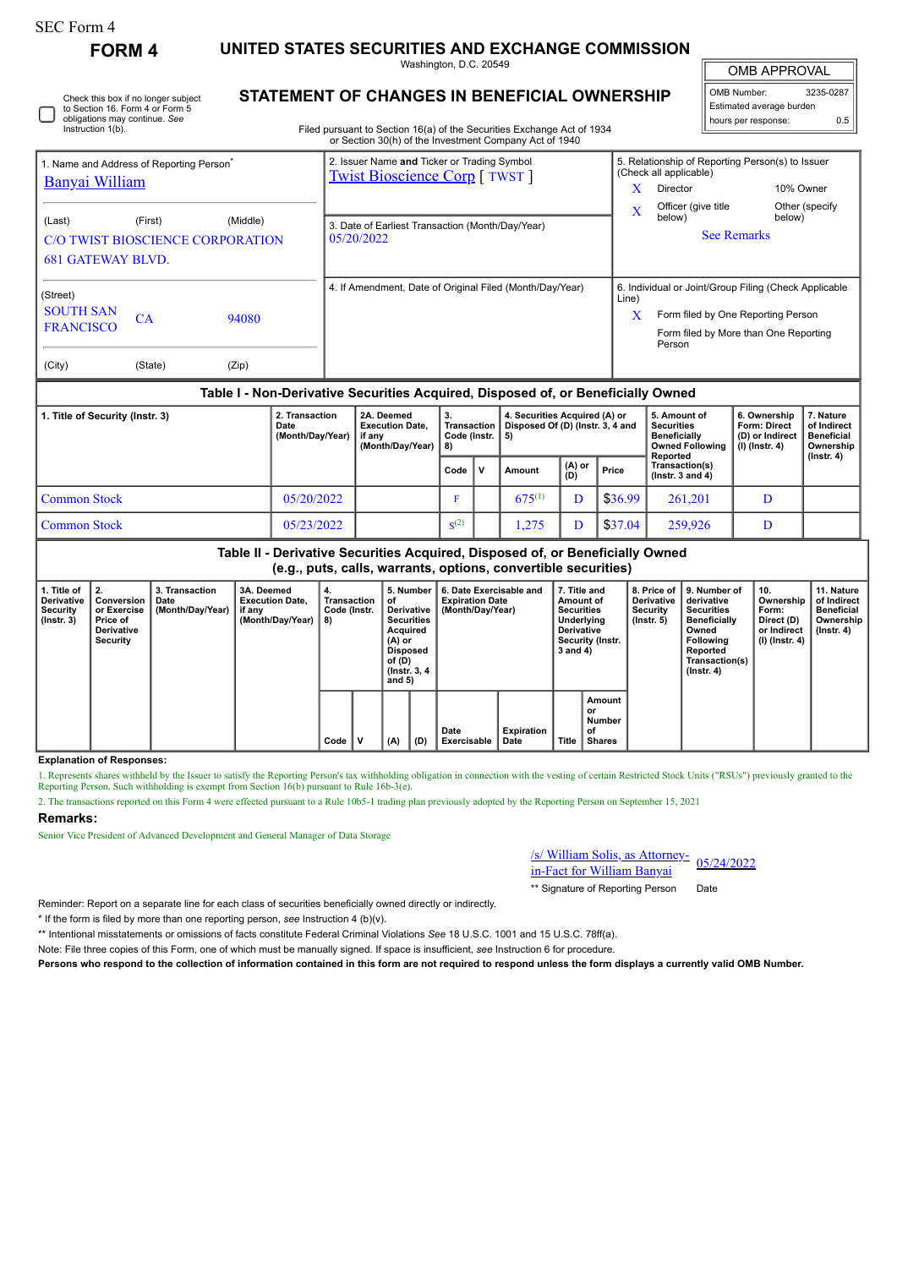| SEC Form 4 |  |
|------------|--|
|------------|--|

**FORM 4 UNITED STATES SECURITIES AND EXCHANGE COMMISSION** Washington, D.C. 20549

OMB APPROVAL

 $\mathbb{I}$ 

| OMB Number:              | 3235-0287 |  |  |  |  |  |  |
|--------------------------|-----------|--|--|--|--|--|--|
| Estimated average burden |           |  |  |  |  |  |  |
| hours per response:      | 0.5       |  |  |  |  |  |  |

Filed pursuant to Section 16(a) of the Securities Exchange Act of 1934 or Section 30(h) of the Investment Company Act of 1940

|                                                                        |                                                                |                | or occion comp or the investment company not or to lo                                |       |                                                                                                                                                |                          |  |  |  |
|------------------------------------------------------------------------|----------------------------------------------------------------|----------------|--------------------------------------------------------------------------------------|-------|------------------------------------------------------------------------------------------------------------------------------------------------|--------------------------|--|--|--|
| 1. Name and Address of Reporting Person <sup>®</sup><br>Banyai William |                                                                |                | 2. Issuer Name and Ticker or Trading Symbol<br><b>Twist Bioscience Corp</b> [ TWST ] |       | 5. Relationship of Reporting Person(s) to Issuer<br>(Check all applicable)<br>10% Owner<br>Director                                            |                          |  |  |  |
| (Last)<br><b>681 GATEWAY BLVD.</b>                                     | (Middle)<br>(First)<br><b>C/O TWIST BIOSCIENCE CORPORATION</b> |                | 3. Date of Earliest Transaction (Month/Day/Year)<br>05/20/2022                       |       | Officer (give title<br>below)<br><b>See Remarks</b>                                                                                            | Other (specify<br>below) |  |  |  |
| (Street)<br><b>SOUTH SAN</b><br><b>FRANCISCO</b><br>(City)             | CA<br>(State)                                                  | 94080<br>(Zip) | 4. If Amendment, Date of Original Filed (Month/Day/Year)                             | Line) | 6. Individual or Joint/Group Filing (Check Applicable<br>Form filed by One Reporting Person<br>Form filed by More than One Reporting<br>Person |                          |  |  |  |

## **Table I - Non-Derivative Securities Acquired, Disposed of, or Beneficially Owned**

| 1. Title of Security (Instr. 3) | 2. Transaction<br>Date<br>(Month/Day/Year) | 2A. Deemed<br><b>Execution Date.</b><br>if anv<br>(Month/Day/Year) | з.<br>Transaction   Disposed Of (D) (Instr. 3, 4 and<br>Code (Instr.   5)<br>8) |              | 4. Securities Acquired (A) or |                                |         | 5. Amount of<br>Securities<br><b>Beneficially</b><br><b>Owned Following</b><br>Reported | 6. Ownership<br><b>Form: Direct</b><br>(D) or Indirect<br>(I) (Instr. 4) | . Nature<br>of Indirect<br><b>Beneficial</b><br>Ownership<br>$($ lnstr. 4 $)$ |
|---------------------------------|--------------------------------------------|--------------------------------------------------------------------|---------------------------------------------------------------------------------|--------------|-------------------------------|--------------------------------|---------|-----------------------------------------------------------------------------------------|--------------------------------------------------------------------------|-------------------------------------------------------------------------------|
|                                 |                                            |                                                                    |                                                                                 | $\mathbf{v}$ | Amount                        | $\binom{(A) \text{ or }}{(D)}$ | Price   | Transaction(s)<br>( $lnstr.$ 3 and 4)                                                   |                                                                          |                                                                               |
| Common Stock                    | 05/20/2022                                 |                                                                    |                                                                                 |              | $675^{(1)}$                   | D                              | \$36.99 | 261.201                                                                                 | D                                                                        |                                                                               |
| Common Stock                    | 05/23/2022                                 |                                                                    | S <sup>(2)</sup>                                                                |              | .275                          |                                | \$37.04 | 259,926                                                                                 | D                                                                        |                                                                               |

**Table II - Derivative Securities Acquired, Disposed of, or Beneficially Owned (e.g., puts, calls, warrants, options, convertible securities)**

| 1. Title of<br><b>Derivative</b><br>Security<br>$($ lnstr. 3 $)$ | Conversion<br>or Exercise<br>Price of<br><b>Derivative</b><br>Security | 3. Transaction<br>Date<br>(Month/Day/Year) | 3A. Deemed<br><b>Execution Date.</b><br>if any<br>(Month/Dav/Year) | 4.<br>Transaction<br>Code (Instr.<br>8) |   | 5. Number<br>οt<br>Derivative<br><b>Securities</b><br>Acquired<br>(A) or<br><b>Disposed</b><br>of $(D)$<br>(Instr. 3, 4)<br>and $5)$ |     | 6. Date Exercisable and<br><b>Expiration Date</b><br>(Month/Day/Year) |                           |       | 7. Title and<br>Amount of<br><b>Securities</b><br>Underlying<br><b>Derivative</b><br>Security (Instr.<br>3 and 4) | 8. Price of I<br><b>Derivative</b><br>Security<br>$($ lnstr. 5 $)$ | 9. Number of<br>derivative<br><b>Securities</b><br><b>Beneficially</b><br>Owned<br><b>Following</b><br>Reported<br>Transaction(s)<br>$($ lnstr. 4 $)$ | 10.<br>Ownership<br>Form:<br>Direct (D)<br>or Indirect<br>(I) (Instr. 4) | 11. Nature<br>of Indirect<br><b>Beneficial</b><br>Ownership<br>(Instr. 4) |
|------------------------------------------------------------------|------------------------------------------------------------------------|--------------------------------------------|--------------------------------------------------------------------|-----------------------------------------|---|--------------------------------------------------------------------------------------------------------------------------------------|-----|-----------------------------------------------------------------------|---------------------------|-------|-------------------------------------------------------------------------------------------------------------------|--------------------------------------------------------------------|-------------------------------------------------------------------------------------------------------------------------------------------------------|--------------------------------------------------------------------------|---------------------------------------------------------------------------|
|                                                                  |                                                                        |                                            |                                                                    | Code                                    | v | (A)                                                                                                                                  | (D) | Date<br>Exercisable                                                   | <b>Expiration</b><br>Date | Title | Amount<br>or<br>Number<br>of<br>Shares                                                                            |                                                                    |                                                                                                                                                       |                                                                          |                                                                           |

## **Explanation of Responses:**

1. Represents shares withheld by the Issuer to satisfy the Reporting Person's tax withholding obligation in connection with the vesting of certain Restricted Stock Units ("RSUs") previously granted to the Reporting Person.

2. The transactions reported on this Form 4 were effected pursuant to a Rule 10b5-1 trading plan previously adopted by the Reporting Person on September 15, 2021

## **Remarks:**

Senior Vice President of Advanced Development and General Manager of Data Storage

/s/ William Solis, as Attorney- $\frac{1}{\text{Si}}$  William Bolis, as Attorney-<br>in-Fact for William Banyai

\*\* Signature of Reporting Person Date

Reminder: Report on a separate line for each class of securities beneficially owned directly or indirectly.

\* If the form is filed by more than one reporting person, *see* Instruction 4 (b)(v).

\*\* Intentional misstatements or omissions of facts constitute Federal Criminal Violations *See* 18 U.S.C. 1001 and 15 U.S.C. 78ff(a).

Note: File three copies of this Form, one of which must be manually signed. If space is insufficient, *see* Instruction 6 for procedure.

**Persons who respond to the collection of information contained in this form are not required to respond unless the form displays a currently valid OMB Number.**

Check this box if no longer subject to Section 16. Form 4 or Form 5 obligations may continue. *See* Instruction 1(b).